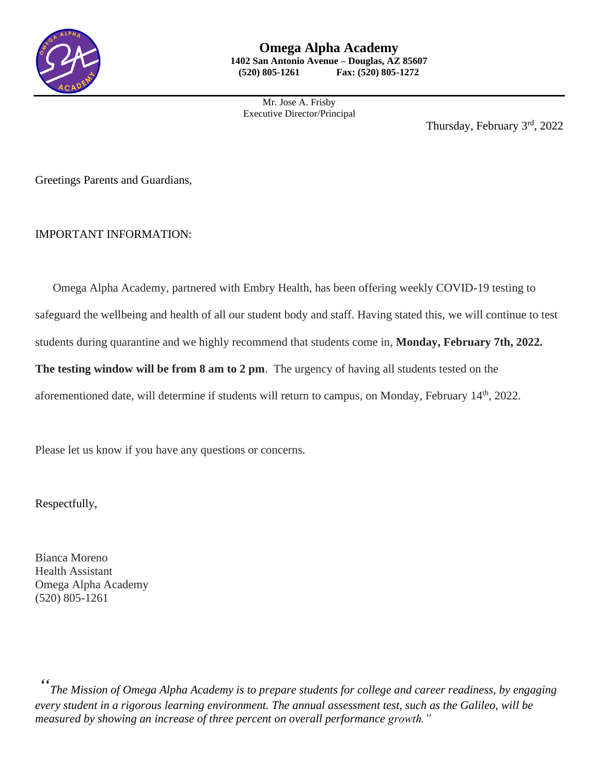

Mr. Jose A. Frisby Executive Director/Principal

Thursday, February 3rd, 2022

Greetings Parents and Guardians,

## IMPORTANT INFORMATION:

 Omega Alpha Academy, partnered with Embry Health, has been offering weekly COVID-19 testing to safeguard the wellbeing and health of all our student body and staff. Having stated this, we will continue to test students during quarantine and we highly recommend that students come in, **Monday, February 7th, 2022. The testing window will be from 8 am to 2 pm**. The urgency of having all students tested on the aforementioned date, will determine if students will return to campus, on Monday, February 14<sup>th</sup>, 2022.

Please let us know if you have any questions or concerns.

Respectfully,

Bianca Moreno Health Assistant Omega Alpha Academy (520) 805-1261

*" The Mission of Omega Alpha Academy is to prepare students for college and career readiness, by engaging every student in a rigorous learning environment. The annual assessment test, such as the Galileo, will be measured by showing an increase of three percent on overall performance growth."*